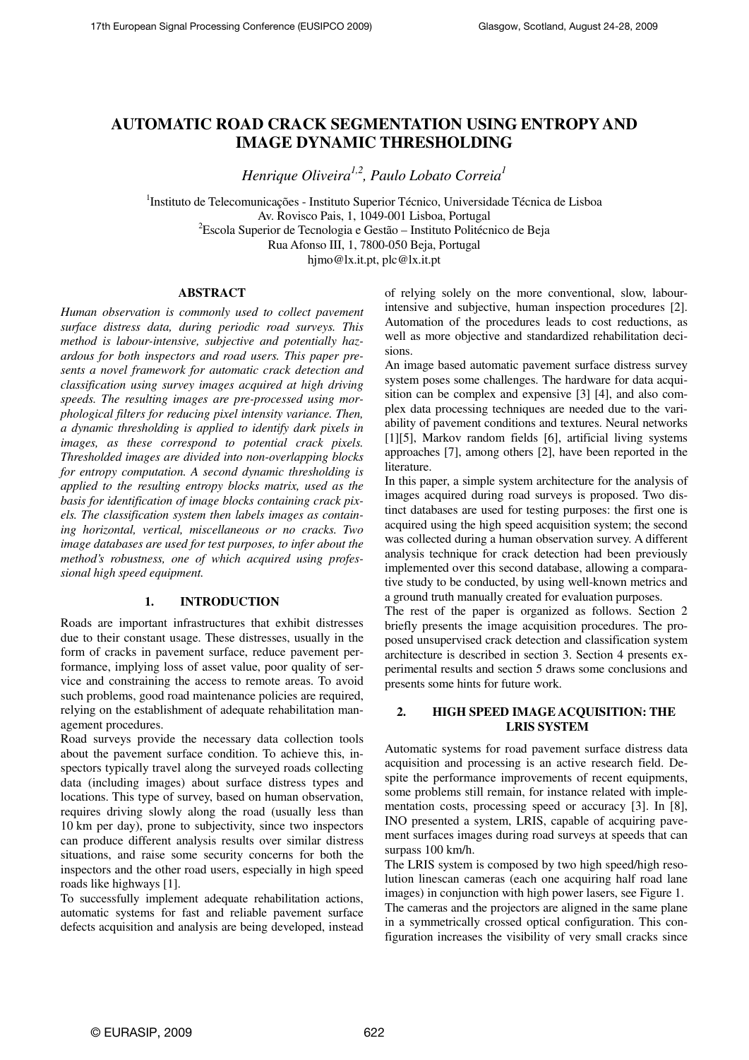# **AUTOMATIC ROAD CRACK SEGMENTATION USING ENTROPY AND IMAGE DYNAMIC THRESHOLDING**

*Henrique Oliveira1,2, Paulo Lobato Correia<sup>1</sup>*

<sup>1</sup>Instituto de Telecomunicações - Instituto Superior Técnico, Universidade Técnica de Lisboa Av. Rovisco Pais, 1, 1049-001 Lisboa, Portugal  ${}^{2}$ Escola Superior de Tecnologia e Gestão – Instituto Politécnico de Beja Rua Afonso III, 1, 7800-050 Beja, Portugal

hjmo@lx.it.pt, plc@lx.it.pt

# **ABSTRACT**

*Human observation is commonly used to collect pavement surface distress data, during periodic road surveys. This method is labour-intensive, subjective and potentially hazardous for both inspectors and road users. This paper presents a novel framework for automatic crack detection and classification using survey images acquired at high driving speeds. The resulting images are pre-processed using morphological filters for reducing pixel intensity variance. Then, a dynamic thresholding is applied to identify dark pixels in images, as these correspond to potential crack pixels. Thresholded images are divided into non-overlapping blocks for entropy computation. A second dynamic thresholding is applied to the resulting entropy blocks matrix, used as the basis for identification of image blocks containing crack pixels. The classification system then labels images as containing horizontal, vertical, miscellaneous or no cracks. Two image databases are used for test purposes, to infer about the method's robustness, one of which acquired using professional high speed equipment.* 

# **1. INTRODUCTION**

Roads are important infrastructures that exhibit distresses due to their constant usage. These distresses, usually in the form of cracks in pavement surface, reduce pavement performance, implying loss of asset value, poor quality of service and constraining the access to remote areas. To avoid such problems, good road maintenance policies are required, relying on the establishment of adequate rehabilitation management procedures.

Road surveys provide the necessary data collection tools about the pavement surface condition. To achieve this, inspectors typically travel along the surveyed roads collecting data (including images) about surface distress types and locations. This type of survey, based on human observation, requires driving slowly along the road (usually less than 10 km per day), prone to subjectivity, since two inspectors can produce different analysis results over similar distress situations, and raise some security concerns for both the inspectors and the other road users, especially in high speed roads like highways [1].

To successfully implement adequate rehabilitation actions, automatic systems for fast and reliable pavement surface defects acquisition and analysis are being developed, instead of relying solely on the more conventional, slow, labourintensive and subjective, human inspection procedures [2]. Automation of the procedures leads to cost reductions, as well as more objective and standardized rehabilitation decisions.

An image based automatic pavement surface distress survey system poses some challenges. The hardware for data acquisition can be complex and expensive [3] [4], and also complex data processing techniques are needed due to the variability of pavement conditions and textures. Neural networks [1][5], Markov random fields [6], artificial living systems approaches [7], among others [2], have been reported in the literature.

In this paper, a simple system architecture for the analysis of images acquired during road surveys is proposed. Two distinct databases are used for testing purposes: the first one is acquired using the high speed acquisition system; the second was collected during a human observation survey. A different analysis technique for crack detection had been previously implemented over this second database, allowing a comparative study to be conducted, by using well-known metrics and a ground truth manually created for evaluation purposes.

The rest of the paper is organized as follows. Section 2 briefly presents the image acquisition procedures. The proposed unsupervised crack detection and classification system architecture is described in section 3. Section 4 presents experimental results and section 5 draws some conclusions and presents some hints for future work.

# **2. HIGH SPEED IMAGE ACQUISITION: THE LRIS SYSTEM**

Automatic systems for road pavement surface distress data acquisition and processing is an active research field. Despite the performance improvements of recent equipments, some problems still remain, for instance related with implementation costs, processing speed or accuracy [3]. In [8], INO presented a system, LRIS, capable of acquiring pavement surfaces images during road surveys at speeds that can surpass 100 km/h.

The LRIS system is composed by two high speed/high resolution linescan cameras (each one acquiring half road lane images) in conjunction with high power lasers, see Figure 1. The cameras and the projectors are aligned in the same plane in a symmetrically crossed optical configuration. This configuration increases the visibility of very small cracks since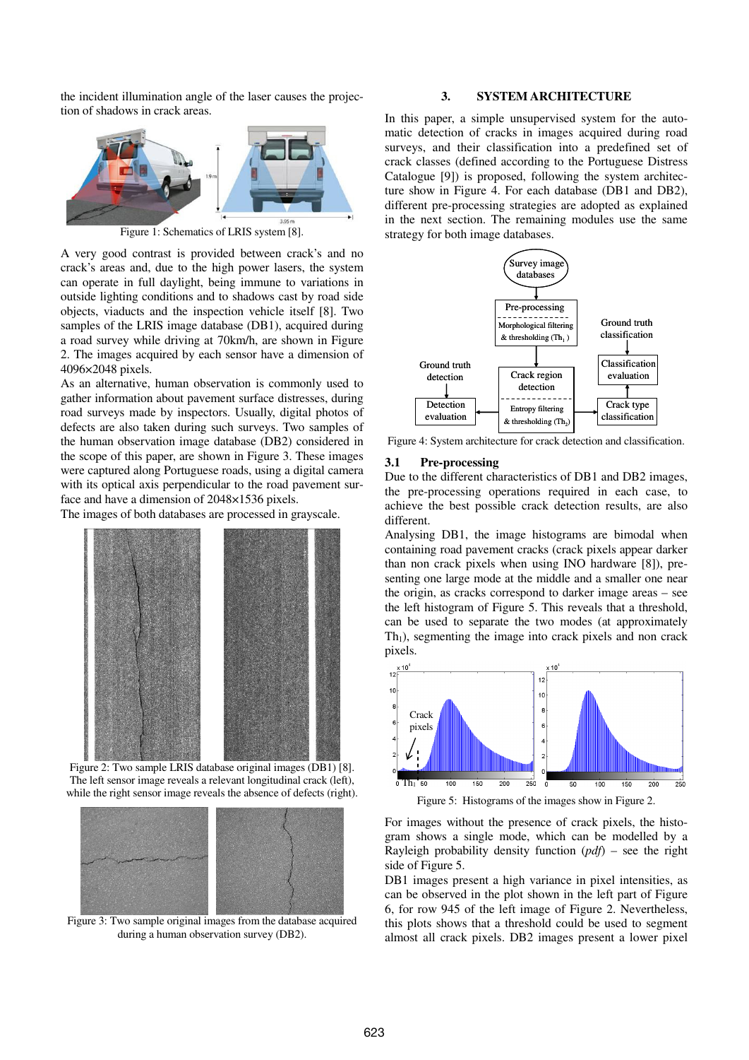the incident illumination angle of the laser causes the projection of shadows in crack areas.



Figure 1: Schematics of LRIS system [8].

A very good contrast is provided between crack's and no crack's areas and, due to the high power lasers, the system can operate in full daylight, being immune to variations in outside lighting conditions and to shadows cast by road side objects, viaducts and the inspection vehicle itself [8]. Two samples of the LRIS image database (DB1), acquired during a road survey while driving at 70km/h, are shown in Figure 2. The images acquired by each sensor have a dimension of 4096×2048 pixels.

As an alternative, human observation is commonly used to gather information about pavement surface distresses, during road surveys made by inspectors. Usually, digital photos of defects are also taken during such surveys. Two samples of the human observation image database (DB2) considered in the scope of this paper, are shown in Figure 3. These images were captured along Portuguese roads, using a digital camera with its optical axis perpendicular to the road pavement surface and have a dimension of 2048×1536 pixels.

The images of both databases are processed in grayscale.



The left sensor image reveals a relevant longitudinal crack (left), while the right sensor image reveals the absence of defects (right).



Figure 3: Two sample original images from the database acquired during a human observation survey (DB2).

# **3. SYSTEM ARCHITECTURE**

In this paper, a simple unsupervised system for the automatic detection of cracks in images acquired during road surveys, and their classification into a predefined set of crack classes (defined according to the Portuguese Distress Catalogue [9]) is proposed, following the system architecture show in Figure 4. For each database (DB1 and DB2), different pre-processing strategies are adopted as explained in the next section. The remaining modules use the same strategy for both image databases.



Figure 4: System architecture for crack detection and classification.

#### **3.1 Pre-processing**

Due to the different characteristics of DB1 and DB2 images, the pre-processing operations required in each case, to achieve the best possible crack detection results, are also different.

Analysing DB1, the image histograms are bimodal when containing road pavement cracks (crack pixels appear darker than non crack pixels when using INO hardware [8]), presenting one large mode at the middle and a smaller one near the origin, as cracks correspond to darker image areas – see the left histogram of Figure 5. This reveals that a threshold, can be used to separate the two modes (at approximately  $Th<sub>1</sub>$ ), segmenting the image into crack pixels and non crack pixels.



Figure 5: Histograms of the images show in Figure 2.

For images without the presence of crack pixels, the histogram shows a single mode, which can be modelled by a Rayleigh probability density function (*pdf*) – see the right side of Figure 5.

DB1 images present a high variance in pixel intensities, as can be observed in the plot shown in the left part of Figure 6, for row 945 of the left image of Figure 2. Nevertheless, this plots shows that a threshold could be used to segment almost all crack pixels. DB2 images present a lower pixel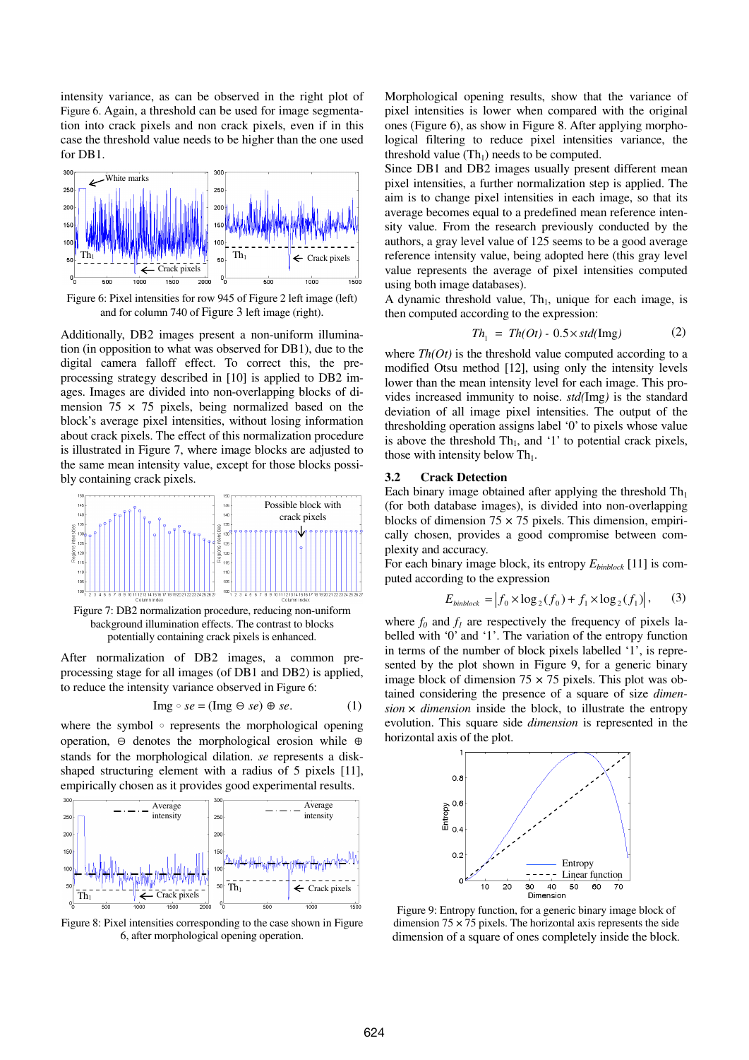intensity variance, as can be observed in the right plot of Figure 6. Again, a threshold can be used for image segmentation into crack pixels and non crack pixels, even if in this case the threshold value needs to be higher than the one used for DB1.



Figure 6: Pixel intensities for row 945 of Figure 2 left image (left) and for column 740 of Figure 3 left image (right).

Additionally, DB2 images present a non-uniform illumination (in opposition to what was observed for DB1), due to the digital camera falloff effect. To correct this, the preprocessing strategy described in [10] is applied to DB2 images. Images are divided into non-overlapping blocks of dimension  $75 \times 75$  pixels, being normalized based on the block's average pixel intensities, without losing information about crack pixels. The effect of this normalization procedure is illustrated in Figure 7, where image blocks are adjusted to the same mean intensity value, except for those blocks possibly containing crack pixels.



Figure 7: DB2 normalization procedure, reducing non-uniform background illumination effects. The contrast to blocks potentially containing crack pixels is enhanced.

After normalization of DB2 images, a common preprocessing stage for all images (of DB1 and DB2) is applied, to reduce the intensity variance observed in Figure 6:

$$
Im g \circ se = (Im g \ominus se) \oplus se. \tag{1}
$$

where the symbol  $\circ$  represents the morphological opening operation,  $\Theta$  denotes the morphological erosion while  $\Theta$ stands for the morphological dilation. *se* represents a diskshaped structuring element with a radius of 5 pixels [11], empirically chosen as it provides good experimental results.



Figure 8: Pixel intensities corresponding to the case shown in Figure 6, after morphological opening operation.

Morphological opening results, show that the variance of pixel intensities is lower when compared with the original ones (Figure 6), as show in Figure 8. After applying morphological filtering to reduce pixel intensities variance, the threshold value  $(Th<sub>1</sub>)$  needs to be computed.

Since DB1 and DB2 images usually present different mean pixel intensities, a further normalization step is applied. The aim is to change pixel intensities in each image, so that its average becomes equal to a predefined mean reference intensity value. From the research previously conducted by the authors, a gray level value of 125 seems to be a good average reference intensity value, being adopted here (this gray level value represents the average of pixel intensities computed using both image databases).

A dynamic threshold value,  $Th_1$ , unique for each image, is then computed according to the expression:

$$
Th_1 = Th(Or) - 0.5 \times std(\text{Img})
$$
 (2)

where  $Th(Of)$  is the threshold value computed according to a modified Otsu method [12], using only the intensity levels lower than the mean intensity level for each image. This provides increased immunity to noise. *std(*Img*)* is the standard deviation of all image pixel intensities. The output of the thresholding operation assigns label '0' to pixels whose value is above the threshold  $Th_1$ , and '1' to potential crack pixels, those with intensity below  $\text{Th}_1$ .

#### **3.2 Crack Detection**

Each binary image obtained after applying the threshold  $Th<sub>1</sub>$ (for both database images), is divided into non-overlapping blocks of dimension  $75 \times 75$  pixels. This dimension, empirically chosen, provides a good compromise between complexity and accuracy.

For each binary image block, its entropy *Ebinblock* [11] is computed according to the expression

$$
E_{\text{binblock}} = |f_0 \times \log_2(f_0) + f_1 \times \log_2(f_1)|, \quad (3)
$$

where  $f_0$  and  $f_1$  are respectively the frequency of pixels labelled with '0' and '1'. The variation of the entropy function in terms of the number of block pixels labelled '1', is represented by the plot shown in Figure 9, for a generic binary image block of dimension  $75 \times 75$  pixels. This plot was obtained considering the presence of a square of size *dimen* $sion \times dimension$  inside the block, to illustrate the entropy evolution. This square side *dimension* is represented in the horizontal axis of the plot.



Figure 9: Entropy function, for a generic binary image block of dimension  $75 \times 75$  pixels. The horizontal axis represents the side dimension of a square of ones completely inside the block.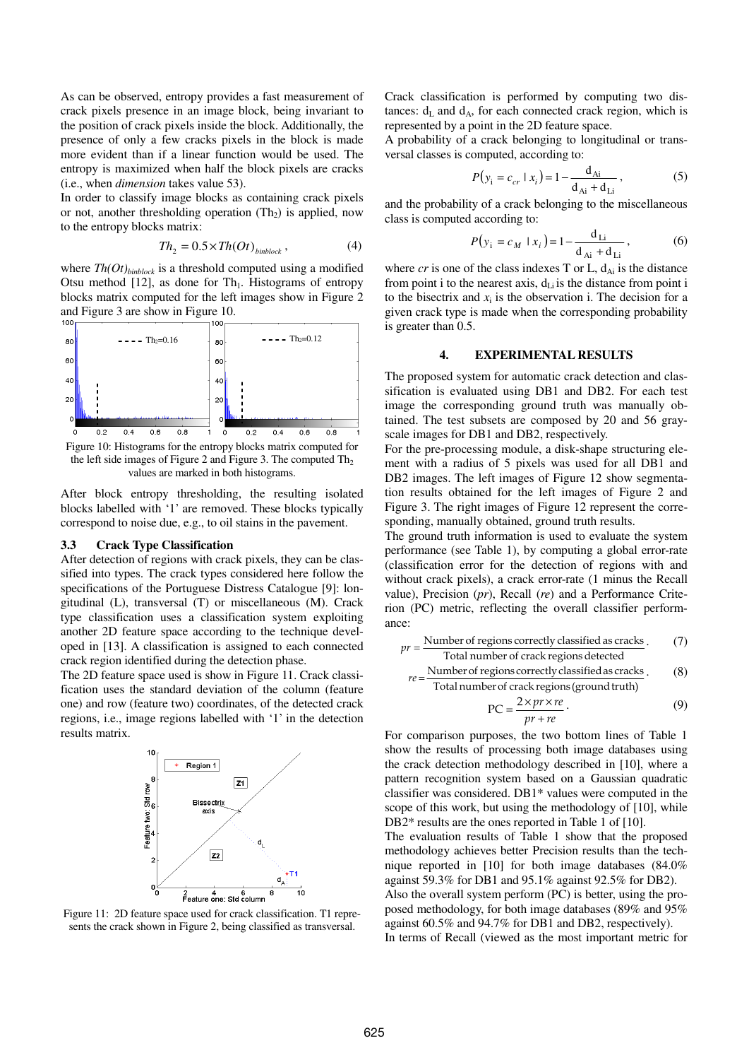As can be observed, entropy provides a fast measurement of crack pixels presence in an image block, being invariant to the position of crack pixels inside the block. Additionally, the presence of only a few cracks pixels in the block is made more evident than if a linear function would be used. The entropy is maximized when half the block pixels are cracks (i.e., when *dimension* takes value 53).

In order to classify image blocks as containing crack pixels or not, another thresholding operation  $(Th<sub>2</sub>)$  is applied, now to the entropy blocks matrix:

$$
Th_2 = 0.5 \times Th(Ot)_{\text{binblock}}, \tag{4}
$$

where *Th(Ot)binblock* is a threshold computed using a modified Otsu method  $[12]$ , as done for Th<sub>1</sub>. Histograms of entropy blocks matrix computed for the left images show in Figure 2 and Figure 3 are show in Figure 10.



Figure 10: Histograms for the entropy blocks matrix computed for the left side images of Figure 2 and Figure 3. The computed  $Th<sub>2</sub>$ values are marked in both histograms.

After block entropy thresholding, the resulting isolated blocks labelled with '1' are removed. These blocks typically correspond to noise due, e.g., to oil stains in the pavement.

# **3.3 Crack Type Classification**

After detection of regions with crack pixels, they can be classified into types. The crack types considered here follow the specifications of the Portuguese Distress Catalogue [9]: longitudinal (L), transversal (T) or miscellaneous (M). Crack type classification uses a classification system exploiting another 2D feature space according to the technique developed in [13]. A classification is assigned to each connected crack region identified during the detection phase.

The 2D feature space used is show in Figure 11. Crack classification uses the standard deviation of the column (feature one) and row (feature two) coordinates, of the detected crack regions, i.e., image regions labelled with '1' in the detection results matrix.



Figure 11: 2D feature space used for crack classification. T1 represents the crack shown in Figure 2, being classified as transversal.

Crack classification is performed by computing two distances:  $d_L$  and  $d_A$ , for each connected crack region, which is represented by a point in the 2D feature space.

A probability of a crack belonging to longitudinal or transversal classes is computed, according to:

$$
P(y_i = c_{cr} \mid x_i) = 1 - \frac{d_{Ai}}{d_{Ai} + d_{Li}},
$$
 (5)

and the probability of a crack belonging to the miscellaneous class is computed according to:

$$
P(y_i = c_M \mid x_i) = 1 - \frac{d_{Li}}{d_{Ai} + d_{Li}},
$$
 (6)

where  $cr$  is one of the class indexes T or L,  $d_{Ai}$  is the distance from point i to the nearest axis,  $d_{Li}$  is the distance from point i to the bisectrix and  $x_i$  is the observation i. The decision for a given crack type is made when the corresponding probability is greater than 0.5.

# **4. EXPERIMENTAL RESULTS**

The proposed system for automatic crack detection and classification is evaluated using DB1 and DB2. For each test image the corresponding ground truth was manually obtained. The test subsets are composed by 20 and 56 grayscale images for DB1 and DB2, respectively.

For the pre-processing module, a disk-shape structuring element with a radius of 5 pixels was used for all DB1 and DB2 images. The left images of Figure 12 show segmentation results obtained for the left images of Figure 2 and Figure 3. The right images of Figure 12 represent the corresponding, manually obtained, ground truth results.

The ground truth information is used to evaluate the system performance (see Table 1), by computing a global error-rate (classification error for the detection of regions with and without crack pixels), a crack error-rate (1 minus the Recall value), Precision (*pr*), Recall (*re*) and a Performance Criterion (PC) metric, reflecting the overall classifier performance:

$$
pr = \frac{\text{Number of regions correctly classified as cracks}}{\text{Total number of crack regions detected}}.\tag{7}
$$

$$
re = \frac{\text{Number of regions correctly classified as cracks}}{\text{Total number of crack regions (ground truth)}}.
$$
 (8)

$$
PC = \frac{2 \times pr \times re}{pr + re}.
$$
 (9)

For comparison purposes, the two bottom lines of Table 1 show the results of processing both image databases using the crack detection methodology described in [10], where a pattern recognition system based on a Gaussian quadratic classifier was considered. DB1\* values were computed in the scope of this work, but using the methodology of [10], while DB2\* results are the ones reported in Table 1 of [10].

The evaluation results of Table 1 show that the proposed methodology achieves better Precision results than the technique reported in [10] for both image databases (84.0% against 59.3% for DB1 and 95.1% against 92.5% for DB2). Also the overall system perform (PC) is better, using the proposed methodology, for both image databases (89% and 95% against 60.5% and 94.7% for DB1 and DB2, respectively). In terms of Recall (viewed as the most important metric for